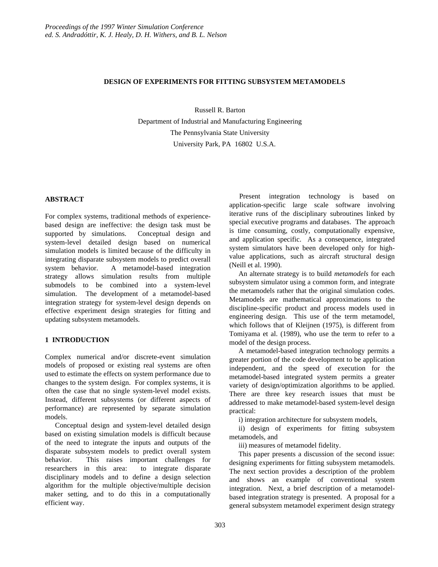## **DESIGN OF EXPERIMENTS FOR FITTING SUBSYSTEM METAMODELS**

Russell R. Barton Department of Industrial and Manufacturing Engineering The Pennsylvania State University University Park, PA 16802 U.S.A.

## **ABSTRACT**

For complex systems, traditional methods of experiencebased design are ineffective: the design task must be supported by simulations. Conceptual design and system-level detailed design based on numerical simulation models is limited because of the difficulty in integrating disparate subsystem models to predict overall system behavior. A metamodel-based integration strategy allows simulation results from multiple submodels to be combined into a system-level simulation. The development of a metamodel-based integration strategy for system-level design depends on effective experiment design strategies for fitting and updating subsystem metamodels.

## **1 INTRODUCTION**

Complex numerical and/or discrete-event simulation models of proposed or existing real systems are often used to estimate the effects on system performance due to changes to the system design. For complex systems, it is often the case that no single system-level model exists. Instead, different subsystems (or different aspects of performance) are represented by separate simulation models.

Conceptual design and system-level detailed design based on existing simulation models is difficult because of the need to integrate the inputs and outputs of the disparate subsystem models to predict overall system behavior. This raises important challenges for researchers in this area: to integrate disparate disciplinary models and to define a design selection algorithm for the multiple objective/multiple decision maker setting, and to do this in a computationally efficient way.

Present integration technology is based on application-specific large scale software involving iterative runs of the disciplinary subroutines linked by special executive programs and databases. The approach is time consuming, costly, computationally expensive, and application specific. As a consequence, integrated system simulators have been developed only for highvalue applications, such as aircraft structural design (Neill et al. 1990).

An alternate strategy is to build *metamodels* for each subsystem simulator using a common form, and integrate the metamodels rather that the original simulation codes. Metamodels are mathematical approximations to the discipline-specific product and process models used in engineering design. This use of the term metamodel, which follows that of Kleijnen (1975), is different from Tomiyama et al. (1989), who use the term to refer to a model of the design process.

A metamodel-based integration technology permits a greater portion of the code development to be application independent, and the speed of execution for the metamodel-based integrated system permits a greater variety of design/optimization algorithms to be applied. There are three key research issues that must be addressed to make metamodel-based system-level design practical:

i) integration architecture for subsystem models,

ii) design of experiments for fitting subsystem metamodels, and

iii) measures of metamodel fidelity.

This paper presents a discussion of the second issue: designing experiments for fitting subsystem metamodels. The next section provides a description of the problem and shows an example of conventional system integration. Next, a brief description of a metamodelbased integration strategy is presented. A proposal for a general subsystem metamodel experiment design strategy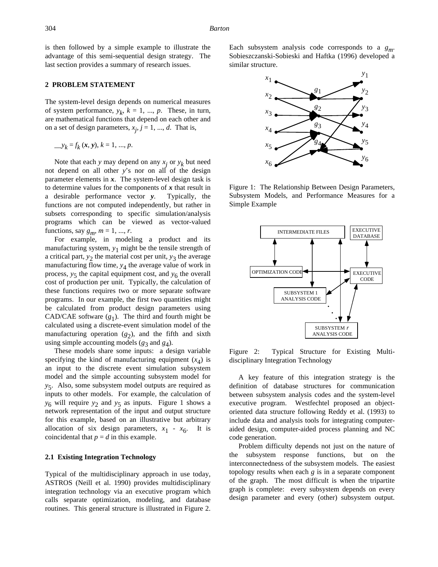is then followed by a simple example to illustrate the advantage of this semi-sequential design strategy. The last section provides a summary of research issues.

## **2 PROBLEM STATEMENT**

The system-level design depends on numerical measures of system performance,  $y_k$ ,  $k = 1, ..., p$ . These, in turn, are mathematical functions that depend on each other and on a set of design parameters,  $x_j$ ,  $j = 1, ..., d$ . That is,

$$
\_\ y_k = f_k(x, y), k = 1, \dots, p.
$$

Note that each *y* may depend on any *xj* or *yk* but need not depend on all other *y*'s nor on all of the design parameter elements in *x*. The system-level design task is to determine values for the components of *x* that result in a desirable performance vector *y*. Typically, the functions are not computed independently, but rather in subsets corresponding to specific simulation/analysis programs which can be viewed as vector-valued functions, say  $g_m$ ,  $m = 1, ..., r$ .

For example, in modeling a product and its manufacturing system,  $y_1$  might be the tensile strength of a critical part,  $y_2$  the material cost per unit,  $y_3$  the average manufacturing flow time, *y*4 the average value of work in process,  $y_5$  the capital equipment cost, and  $y_6$  the overall cost of production per unit. Typically, the calculation of these functions requires two or more separate software programs. In our example, the first two quantities might be calculated from product design parameters using CAD/CAE software  $(g_1)$ . The third and fourth might be calculated using a discrete-event simulation model of the manufacturing operation  $(g_2)$ , and the fifth and sixth using simple accounting models  $(g_3 \text{ and } g_4)$ .

These models share some inputs: a design variable specifying the kind of manufacturing equipment  $(x_4)$  is an input to the discrete event simulation subsystem model and the simple accounting subsystem model for *y*5. Also, some subsystem model outputs are required as inputs to other models. For example, the calculation of  $y_6$  will require  $y_2$  and  $y_5$  as inputs. Figure 1 shows a network representation of the input and output structure for this example, based on an illustrative but arbitrary allocation of six design parameters,  $x_1 - x_6$ . It is coincidental that  $p = d$  in this example.

#### **2.1 Existing Integration Technology**

Typical of the multidisciplinary approach in use today, ASTROS (Neill et al. 1990) provides multidisciplinary integration technology via an executive program which calls separate optimization, modeling, and database routines. This general structure is illustrated in Figure 2.

Each subsystem analysis code corresponds to a *gm*. Sobieszczanski-Sobieski and Haftka (1996) developed a similar structure.



Figure 1: The Relationship Between Design Parameters, Subsystem Models, and Performance Measures for a Simple Example



Figure 2: Typical Structure for Existing Multidisciplinary Integration Technology

A key feature of this integration strategy is the definition of database structures for communication between subsystem analysis codes and the system-level executive program. Westfechtel proposed an objectoriented data structure following Reddy et al. (1993) to include data and analysis tools for integrating computeraided design, computer-aided process planning and NC code generation.

Problem difficulty depends not just on the nature of the subsystem response functions, but on the interconnectedness of the subsystem models. The easiest topology results when each *g* is in a separate component of the graph. The most difficult is when the tripartite graph is complete: every subsystem depends on every design parameter and every (other) subsystem output.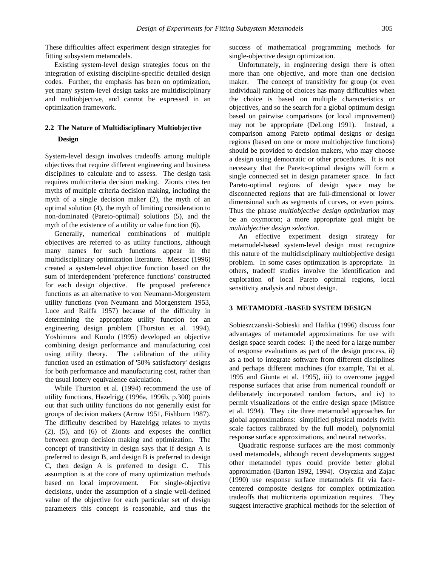These difficulties affect experiment design strategies for fitting subsystem metamodels.

Existing system-level design strategies focus on the integration of existing discipline-specific detailed design codes. Further, the emphasis has been on optimization, yet many system-level design tasks are multidisciplinary and multiobjective, and cannot be expressed in an optimization framework.

# **2.2 The Nature of Multidisciplinary Multiobjective Design**

System-level design involves tradeoffs among multiple objectives that require different engineering and business disciplines to calculate and to assess. The design task requires multicriteria decision making. Zionts cites ten myths of multiple criteria decision making, including the myth of a single decision maker (2), the myth of an optimal solution (4), the myth of limiting consideration to non-dominated (Pareto-optimal) solutions (5), and the myth of the existence of a utility or value function (6).

Generally, numerical combinations of multiple objectives are referred to as utility functions, although many names for such functions appear in the multidisciplinary optimization literature. Messac (1996) created a system-level objective function based on the sum of interdependent 'preference functions' constructed for each design objective. He proposed preference functions as an alternative to von Neumann-Morgenstern utility functions (von Neumann and Morgenstern 1953, Luce and Raiffa 1957) because of the difficulty in determining the appropriate utility function for an engineering design problem (Thurston et al. 1994). Yoshimura and Kondo (1995) developed an objective combining design performance and manufacturing cost using utility theory. The calibration of the utility function used an estimation of '50% satisfactory' designs for both performance and manufacturing cost, rather than the usual lottery equivalence calculation.

While Thurston et al. (1994) recommend the use of utility functions, Hazelrigg (1996a, 1996b, p.300) points out that such utility functions do not generally exist for groups of decision makers (Arrow 1951, Fishburn 1987). The difficulty described by Hazelrigg relates to myths (2), (5), and (6) of Zionts and exposes the conflict between group decision making and optimization. The concept of transitivity in design says that if design A is preferred to design B, and design B is preferred to design C, then design A is preferred to design C. This assumption is at the core of many optimization methods based on local improvement. For single-objective decisions, under the assumption of a single well-defined value of the objective for each particular set of design parameters this concept is reasonable, and thus the

success of mathematical programming methods for single-objective design optimization.

Unfortunately, in engineering design there is often more than one objective, and more than one decision maker. The concept of transitivity for group (or even individual) ranking of choices has many difficulties when the choice is based on multiple characteristics or objectives, and so the search for a global optimum design based on pairwise comparisons (or local improvement) may not be appropriate (DeLong 1991). Instead, a comparison among Pareto optimal designs or design regions (based on one or more multiobjective functions) should be provided to decision makers, who may choose a design using democratic or other procedures. It is not necessary that the Pareto-optimal designs will form a single connected set in design parameter space. In fact Pareto-optimal regions of design space may be disconnected regions that are full-dimensional or lower dimensional such as segments of curves, or even points. Thus the phrase *multiobjective design optimization* may be an oxymoron; a more appropriate goal might be *multiobjective design selection*.

An effective experiment design strategy for metamodel-based system-level design must recognize this nature of the multidisciplinary multiobjective design problem. In some cases optimization is appropriate. In others, tradeoff studies involve the identification and exploration of local Pareto optimal regions, local sensitivity analysis and robust design.

#### **3 METAMODEL-BASED SYSTEM DESIGN**

Sobieszczanski-Sobieski and Haftka (1996) discuss four advantages of metamodel approximations for use with design space search codes: i) the need for a large number of response evaluations as part of the design process, ii) as a tool to integrate software from different disciplines and perhaps different machines (for example, Tai et al. 1995 and Giunta et al. 1995), iii) to overcome jagged response surfaces that arise from numerical roundoff or deliberately incorporated random factors, and iv) to permit visualizations of the entire design space (Mistree et al. 1994). They cite three metamodel approaches for global approximations: simplified physical models (with scale factors calibrated by the full model), polynomial response surface approximations, and neural networks.

Quadratic response surfaces are the most commonly used metamodels, although recent developments suggest other metamodel types could provide better global approximation (Barton 1992, 1994). Osyczka and Zajac (1990) use response surface metamodels fit via facecentered composite designs for complex optimization tradeoffs that multicriteria optimization requires. They suggest interactive graphical methods for the selection of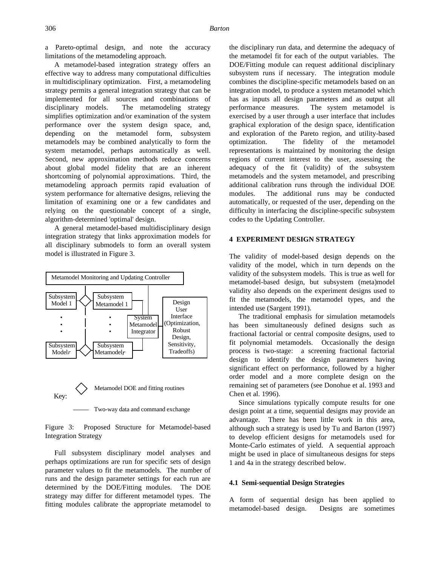a Pareto-optimal design, and note the accuracy limitations of the metamodeling approach.

A metamodel-based integration strategy offers an effective way to address many computational difficulties in multidisciplinary optimization. First, a metamodeling strategy permits a general integration strategy that can be implemented for all sources and combinations of disciplinary models. The metamodeling strategy simplifies optimization and/or examination of the system performance over the system design space, and, depending on the metamodel form, subsystem metamodels may be combined analytically to form the system metamodel, perhaps automatically as well. Second, new approximation methods reduce concerns about global model fidelity that are an inherent shortcoming of polynomial approximations. Third, the metamodeling approach permits rapid evaluation of system performance for alternative designs, relieving the limitation of examining one or a few candidates and relying on the questionable concept of a single, algorithm-determined 'optimal' design.

A general metamodel-based multidisciplinary design integration strategy that links approximation models for all disciplinary submodels to form an overall system model is illustrated in Figure 3.



Figure 3: Proposed Structure for Metamodel-based Integration Strategy

Full subsystem disciplinary model analyses and perhaps optimizations are run for specific sets of design parameter values to fit the metamodels. The number of runs and the design parameter settings for each run are determined by the DOE/Fitting modules. The DOE strategy may differ for different metamodel types. The fitting modules calibrate the appropriate metamodel to

the disciplinary run data, and determine the adequacy of the metamodel fit for each of the output variables. The DOE/Fitting module can request additional disciplinary subsystem runs if necessary. The integration module combines the discipline-specific metamodels based on an integration model, to produce a system metamodel which has as inputs all design parameters and as output all performance measures. The system metamodel is exercised by a user through a user interface that includes graphical exploration of the design space, identification and exploration of the Pareto region, and utility-based optimization. The fidelity of the metamodel representations is maintained by monitoring the design regions of current interest to the user, assessing the adequacy of the fit (validity) of the subsystem metamodels and the system metamodel, and prescribing additional calibration runs through the individual DOE modules. The additional runs may be conducted automatically, or requested of the user, depending on the difficulty in interfacing the discipline-specific subsystem codes to the Updating Controller.

#### **4 EXPERIMENT DESIGN STRATEGY**

The validity of model-based design depends on the validity of the model, which in turn depends on the validity of the subsystem models. This is true as well for metamodel-based design, but subsystem (meta)model validity also depends on the experiment designs used to fit the metamodels, the metamodel types, and the intended use (Sargent 1991).

The traditional emphasis for simulation metamodels has been simultaneously defined designs such as fractional factorial or central composite designs, used to fit polynomial metamodels. Occasionally the design process is two-stage: a screening fractional factorial design to identify the design parameters having significant effect on performance, followed by a higher order model and a more complete design on the remaining set of parameters (see Donohue et al. 1993 and Chen et al. 1996).

Since simulations typically compute results for one design point at a time, sequential designs may provide an advantage. There has been little work in this area, although such a strategy is used by Tu and Barton (1997) to develop efficient designs for metamodels used for Monte-Carlo estimates of yield. A sequential approach might be used in place of simultaneous designs for steps 1 and 4a in the strategy described below.

#### **4.1 Semi-sequential Design Strategies**

A form of sequential design has been applied to metamodel-based design. Designs are sometimes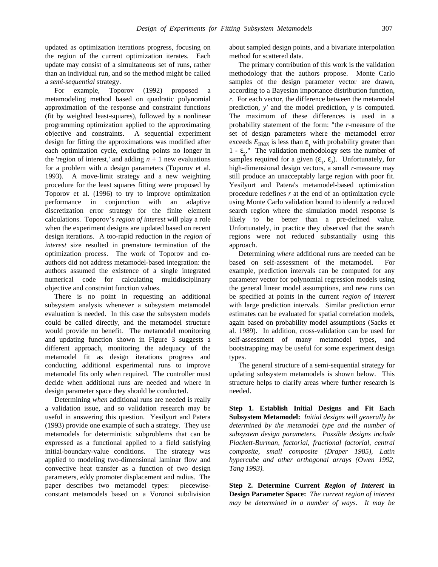updated as optimization iterations progress, focusing on the region of the current optimization iterates. Each update may consist of a simultaneous set of runs, rather than an individual run, and so the method might be called a *semi-sequential* strategy.

For example, Toporov (1992) proposed a metamodeling method based on quadratic polynomial approximation of the response and constraint functions (fit by weighted least-squares), followed by a nonlinear programming optimization applied to the approximating objective and constraints. A sequential experiment design for fitting the approximations was modified after each optimization cycle, excluding points no longer in the 'region of interest,' and adding  $n + 1$  new evaluations for a problem with *n* design parameters (Toporov et al. 1993). A move-limit strategy and a new weighting procedure for the least squares fitting were proposed by Toporov et al. (1996) to try to improve optimization performance in conjunction with an adaptive discretization error strategy for the finite element calculations. Toporov's *region of interest* will play a role when the experiment designs are updated based on recent design iterations. A too-rapid reduction in the *region of interest* size resulted in premature termination of the optimization process. The work of Toporov and coauthors did not address metamodel-based integration: the authors assumed the existence of a single integrated numerical code for calculating multidisciplinary objective and constraint function values.

There is no point in requesting an additional subsystem analysis whenever a subsystem metamodel evaluation is needed. In this case the subsystem models could be called directly, and the metamodel structure would provide no benefit. The metamodel monitoring and updating function shown in Figure 3 suggests a different approach, monitoring the adequacy of the metamodel fit as design iterations progress and conducting additional experimental runs to improve metamodel fits only when required. The controller must decide when additional runs are needed and where in design parameter space they should be conducted.

Determining *when* additional runs are needed is really a validation issue, and so validation research may be useful in answering this question. Yesilyurt and Patera (1993) provide one example of such a strategy. They use metamodels for deterministic subproblems that can be expressed as a functional applied to a field satisfying initial-boundary-value conditions. The strategy was applied to modeling two-dimensional laminar flow and convective heat transfer as a function of two design parameters, eddy promoter displacement and radius. The paper describes two metamodel types: piecewiseconstant metamodels based on a Voronoi subdivision about sampled design points, and a bivariate interpolation method for scattered data.

The primary contribution of this work is the validation methodology that the authors propose. Monte Carlo samples of the design parameter vector are drawn, according to a Bayesian importance distribution function, *r*. For each vector, the difference between the metamodel prediction, *y'* and the model prediction, *y* is computed. The maximum of these differences is used in a probability statement of the form: "the *r*-measure of the set of design parameters where the metamodel error exceeds  $E_{\text{max}}$  is less than  $e_1$  with probability greater than 1 -  $e_2$ ." The validation methodology sets the number of samples required for a given  $(e_1, e_2)$ . Unfortunately, for high-dimensional design vectors, a small *r*-measure may still produce an unacceptably large region with poor fit. Yesilyurt and Patera's metamodel-based optimization procedure redefines *r* at the end of an optimization cycle using Monte Carlo validation bound to identify a reduced search region where the simulation model response is likely to be better than a pre-defined value. Unfortunately, in practice they observed that the search regions were not reduced substantially using this approach.

Determining *where* additional runs are needed can be based on self-assessment of the metamodel. For example, prediction intervals can be computed for any parameter vector for polynomial regression models using the general linear model assumptions, and new runs can be specified at points in the current *region of interest* with large prediction intervals. Similar prediction error estimates can be evaluated for spatial correlation models, again based on probability model assumptions (Sacks et al. 1989). In addition, cross-validation can be used for self-assessment of many metamodel types, and bootstrapping may be useful for some experiment design types.

The general structure of a semi-sequential strategy for updating subsystem metamodels is shown below. This structure helps to clarify areas where further research is needed.

**Step 1. Establish Initial Designs and Fit Each Subsystem Metamodel:** *Initial designs will generally be determined by the metamodel type and the number of subsystem design parameters. Possible designs include Plackett-Burman, factorial, fractional factorial, central composite, small composite (Draper 1985), Latin hypercube and other orthogonal arrays (Owen 1992, Tang 1993).*

**Step 2. Determine Current** *Region of Interest* **in Design Parameter Space:** *The current region of interest may be determined in a number of ways. It may be*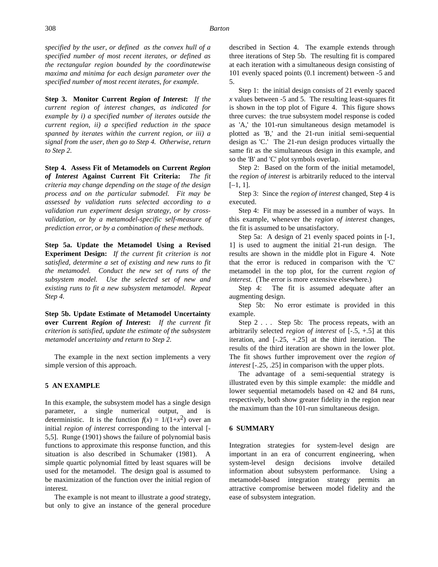*specified by the user, or defined as the convex hull of a specified number of most recent iterates, or defined as the rectangular region bounded by the coordinatewise maxima and minima for each design parameter over the specified number of most recent iterates, for example.*

**Step 3. Monitor Current** *Region of Interest***:** *If the current region of interest changes, as indicated for example by i) a specified number of iterates outside the current region, ii) a specified reduction in the space spanned by iterates within the current region, or iii) a signal from the user, then go to Step 4. Otherwise, return to Step 2.*

**Step 4. Assess Fit of Metamodels on Current** *Region of Interest* **Against Current Fit Criteria:** *The fit criteria may change depending on the stage of the design process and on the particular submodel. Fit may be assessed by validation runs selected according to a validation run experiment design strategy, or by crossvalidation, or by a metamodel-specific self-measure of prediction error, or by a combination of these methods.*

**Step 5a. Update the Metamodel Using a Revised Experiment Design:** *If the current fit criterion is not satisfied, determine a set of existing and new runs to fit the metamodel. Conduct the new set of runs of the subsystem model. Use the selected set of new and existing runs to fit a new subsystem metamodel. Repeat Step 4.*

**Step 5b. Update Estimate of Metamodel Uncertainty over Current** *Region of Interest***:** *If the current fit criterion is satisfied, update the estimate of the subsystem metamodel uncertainty and return to Step 2.*

The example in the next section implements a very simple version of this approach.

#### **5 AN EXAMPLE**

In this example, the subsystem model has a single design parameter, a single numerical output, and is deterministic. It is the function  $f(x) = 1/(1+x^2)$  over an initial *region of interest* corresponding to the interval [- 5,5]. Runge (1901) shows the failure of polynomial basis functions to approximate this response function, and this situation is also described in Schumaker (1981). A simple quartic polynomial fitted by least squares will be used for the metamodel. The design goal is assumed to be maximization of the function over the initial region of interest.

The example is not meant to illustrate a *good* strategy, but only to give an instance of the general procedure described in Section 4. The example extends through three iterations of Step 5b. The resulting fit is compared at each iteration with a simultaneous design consisting of 101 evenly spaced points (0.1 increment) between -5 and 5.

Step 1: the initial design consists of 21 evenly spaced *x* values between -5 and 5. The resulting least-squares fit is shown in the top plot of Figure 4. This figure shows three curves: the true subsystem model response is coded as 'A,' the 101-run simultaneous design metamodel is plotted as 'B,' and the 21-run initial semi-sequential design as 'C.' The 21-run design produces virtually the same fit as the simultaneous design in this example, and so the 'B' and 'C' plot symbols overlap.

Step 2: Based on the form of the initial metamodel, the *region of interest* is arbitrarily reduced to the interval [–1, 1].

Step 3: Since the *region of interest* changed, Step 4 is executed.

Step 4: Fit may be assessed in a number of ways. In this example, whenever the *region of interest* changes, the fit is assumed to be unsatisfactory.

Step 5a: A design of 21 evenly spaced points in [-1, 1] is used to augment the initial 21-run design. The results are shown in the middle plot in Figure 4. Note that the error is reduced in comparison with the 'C' metamodel in the top plot, for the current *region of interest.* (The error is more extensive elsewhere.)

Step 4: The fit is assumed adequate after an augmenting design.

Step 5b: No error estimate is provided in this example.

Step 2 . . . Step 5b: The process repeats, with an arbitrarily selected *region of interest* of [-.5, +.5] at this iteration, and  $[-.25, +.25]$  at the third iteration. The results of the third iteration are shown in the lower plot. The fit shows further improvement over the *region of interest* [-.25, .25] in comparison with the upper plots.

The advantage of a semi-sequential strategy is illustrated even by this simple example: the middle and lower sequential metamodels based on 42 and 84 runs, respectively, both show greater fidelity in the region near the maximum than the 101-run simultaneous design.

#### **6 SUMMARY**

Integration strategies for system-level design are important in an era of concurrent engineering, when system-level design decisions involve detailed information about subsystem performance. Using a metamodel-based integration strategy permits an attractive compromise between model fidelity and the ease of subsystem integration.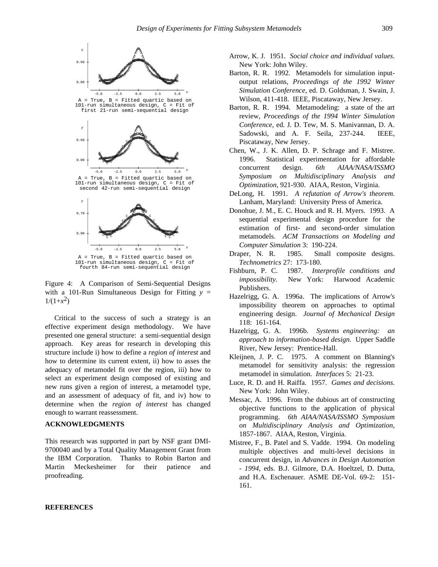

Figure 4: A Comparison of Semi-Sequential Designs with a 101-Run Simultaneous Design for Fitting  $y =$  $1/(1+x^2)$ 

Critical to the success of such a strategy is an effective experiment design methodology. We have presented one general structure: a semi-sequential design approach. Key areas for research in developing this structure include i) how to define a *region of interest* and how to determine its current extent, ii) how to asses the adequacy of metamodel fit over the region, iii) how to select an experiment design composed of existing and new runs given a region of interest, a metamodel type, and an assessment of adequacy of fit, and iv) how to determine when the *region of interest* has changed enough to warrant reassessment.

## **ACKNOWLEDGMENTS**

This research was supported in part by NSF grant DMI-9700040 and by a Total Quality Management Grant from the IBM Corporation. Thanks to Robin Barton and Martin Meckesheimer for their patience and proofreading.

- Arrow, K. J. 1951. *Social choice and individual values*. New York: John Wiley.
- Barton, R. R. 1992. Metamodels for simulation inputoutput relations, *Proceedings of the 1992 Winter Simulation Conference*, ed. D. Goldsman, J. Swain, J. Wilson, 411-418. IEEE, Piscataway, New Jersey.
- Barton, R. R. 1994. Metamodeling: a state of the art review, *Proceedings of the 1994 Winter Simulation Conference*, ed. J. D. Tew, M. S. Manivannan, D. A. Sadowski, and A. F. Seila, 237-244. IEEE, Piscataway, New Jersey.
- Chen, W., J. K. Allen, D. P. Schrage and F. Mistree. 1996. Statistical experimentation for affordable concurrent design. *6th AIAA/NASA/ISSMO Symposium on Multidisciplinary Analysis and Optimization*, 921-930. AIAA, Reston, Virginia.
- DeLong, H. 1991. *A refutation of Arrow's theorem.* Lanham, Maryland: University Press of America.
- Donohue, J. M., E. C. Houck and R. H. Myers. 1993. A sequential experimental design procedure for the estimation of first- and second-order simulation metamodels. *ACM Transactions on Modeling and Computer Simulation* 3: 190-224.
- Draper, N. R. 1985. Small composite designs. *Technometrics* 27: 173-180.
- Fishburn, P. C. 1987. *Interprofile conditions and impossibility.* New York: Harwood Academic Publishers.
- Hazelrigg, G. A. 1996a. The implications of Arrow's impossibility theorem on approaches to optimal engineering design. *Journal of Mechanical Design* 118: 161-164.
- Hazelrigg, G. A. 1996b. *Systems engineering: an approach to information-based design.* Upper Saddle River, New Jersey: Prentice-Hall.
- Kleijnen, J. P. C. 1975. A comment on Blanning's metamodel for sensitivity analysis: the regression metamodel in simulation. *Interfaces* 5: 21-23.
- Luce, R. D. and H. Raiffa. 1957. *Games and decisions.* New York: John Wiley.
- Messac, A. 1996. From the dubious art of constructing objective functions to the application of physical programming. *6th AIAA/NASA/ISSMO Symposium on Multidisciplinary Analysis and Optimization*, 1857-1867. AIAA, Reston, Virginia.
- Mistree, F., B. Patel and S. Vadde. 1994. On modeling multiple objectives and multi-level decisions in concurrent design, in *Advances in Design Automation - 1994*, eds. B.J. Gilmore, D.A. Hoeltzel, D. Dutta, and H.A. Eschenauer. ASME DE-Vol. 69-2: 151- 161.

#### **REFERENCES**